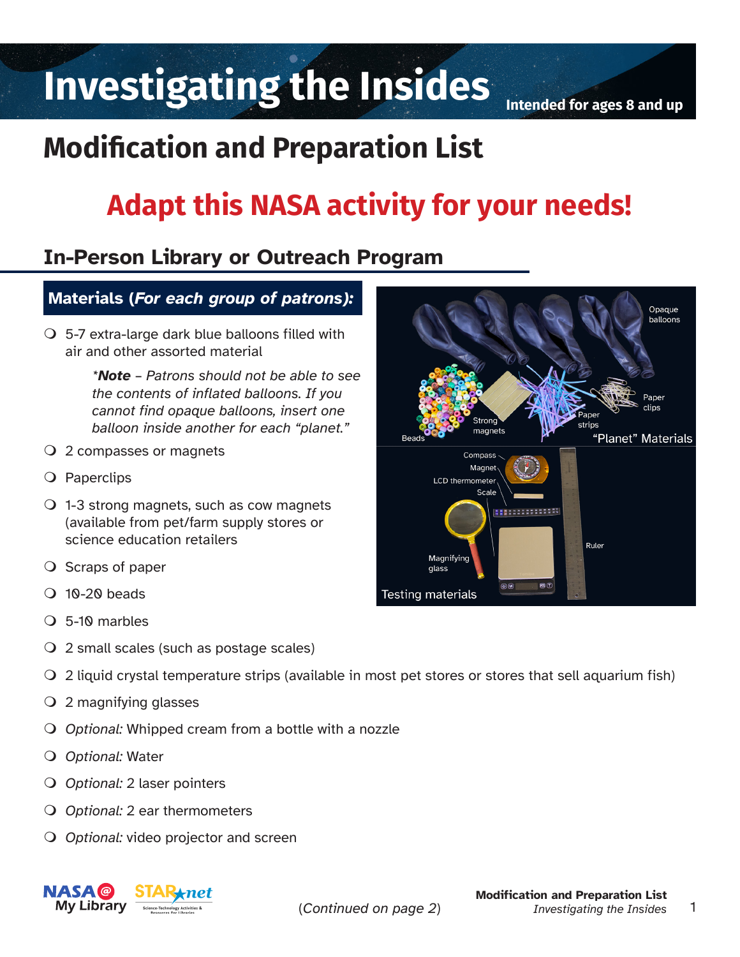# Investigating the Insides **Intended for ages 8 and up**

## **Modification and Preparation List**

## **Adapt this NASA activity for your needs!**

## **In-Person Library or Outreach Program**

## **Materials (***For each group of patrons):*

 $\overline{O}$  5-7 extra-large dark blue balloons filled with air and other assorted material

> *\*Note – Patrons should not be able to see the contents of inflated balloons. If you cannot find opaque balloons, insert one balloon inside another for each "planet."*

- 2 compasses or magnets
- O Paperclips
- $\bigcirc$  1-3 strong magnets, such as cow magnets (available from pet/farm supply stores or science education retailers
- $\overline{O}$  Scraps of paper
- $\Omega$  10-20 beads
- 5-10 marbles
- 2 small scales (such as postage scales)
- 2 liquid crystal temperature strips (available in most pet stores or stores that sell aquarium fish)
- 2 magnifying glasses
- *Optional:* Whipped cream from a bottle with a nozzle
- *Optional:* Water
- *Optional:* 2 laser pointers
- *Optional:* 2 ear thermometers
- **O** Optional: video projector and screen



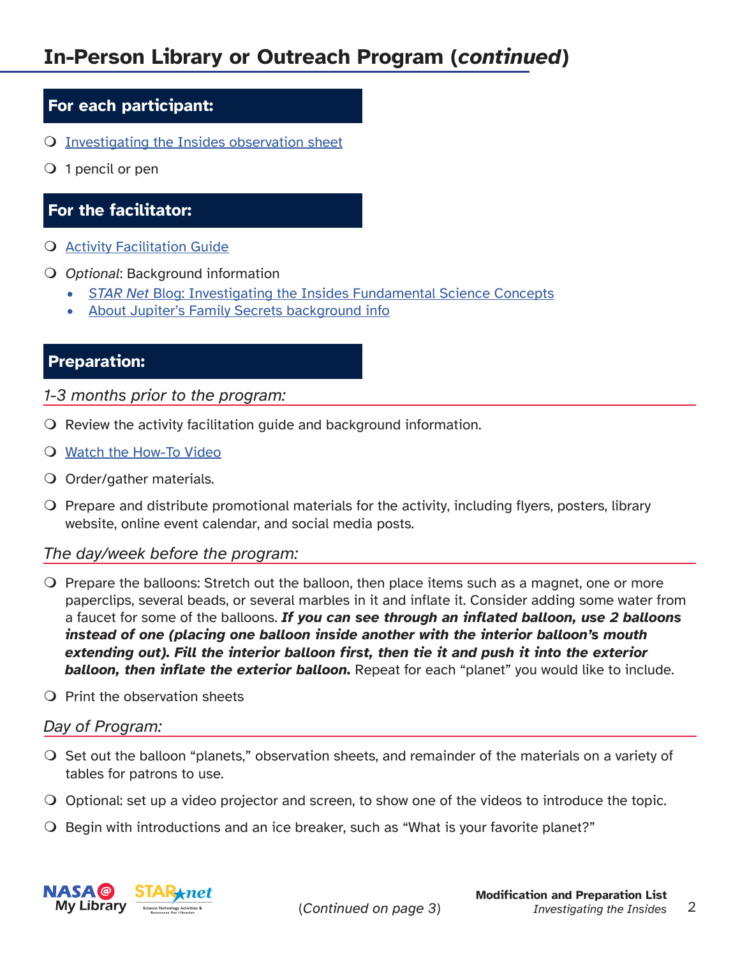### **For each participant:**

- [Investigating the Insides observation sheet](https://www.lpi.usra.edu/education/explore/solar_system/activities/JournalPages_25.pdf)
- $\overline{Q}$  1 pencil or pen

## **For the facilitator:**

- **Q** [Activity Facilitation Guide](https://www.lpi.usra.edu/education/explore/solar_system/activities/insides/)
- **O** Optional: Background information
	- *• STAR Net* [Blog: Investigating the Insides Fundamental Science Concepts](https://www.starnetlibraries.org/our-blue-planet-earth-featured-activity-investigating-the-insides/)
	- [About Jupiter's Family Secrets background info](https://www.lpi.usra.edu/education/explore/solar_system/activities/insides/)

## **Preparation:**

*1-3 months prior to the program:*

- $\Omega$  Review the activity facilitation guide and background information.
- [Watch the How-To Video](https://www.youtube.com/watch?v=3LuDGKAoA7I&t=11s)
- Order/gather materials.
- $\bigcirc$  Prepare and distribute promotional materials for the activity, including flyers, posters, library website, online event calendar, and social media posts.

#### *The day/week before the program:*

- $\bigcirc$  Prepare the balloons: Stretch out the balloon, then place items such as a magnet, one or more paperclips, several beads, or several marbles in it and inflate it. Consider adding some water from a faucet for some of the balloons. *If you can see through an inflated balloon, use 2 balloons instead of one (placing one balloon inside another with the interior balloon's mouth extending out). Fill the interior balloon first, then tie it and push it into the exterior balloon, then inflate the exterior balloon.* Repeat for each "planet" you would like to include.
- $\Omega$  Print the observation sheets

#### *Day of Program:*

- $\bigcirc$  Set out the balloon "planets," observation sheets, and remainder of the materials on a variety of tables for patrons to use.
- $\bigcirc$  Optional: set up a video projector and screen, to show one of the videos to introduce the topic.
- $\bigcirc$  Begin with introductions and an ice breaker, such as "What is your favorite planet?"

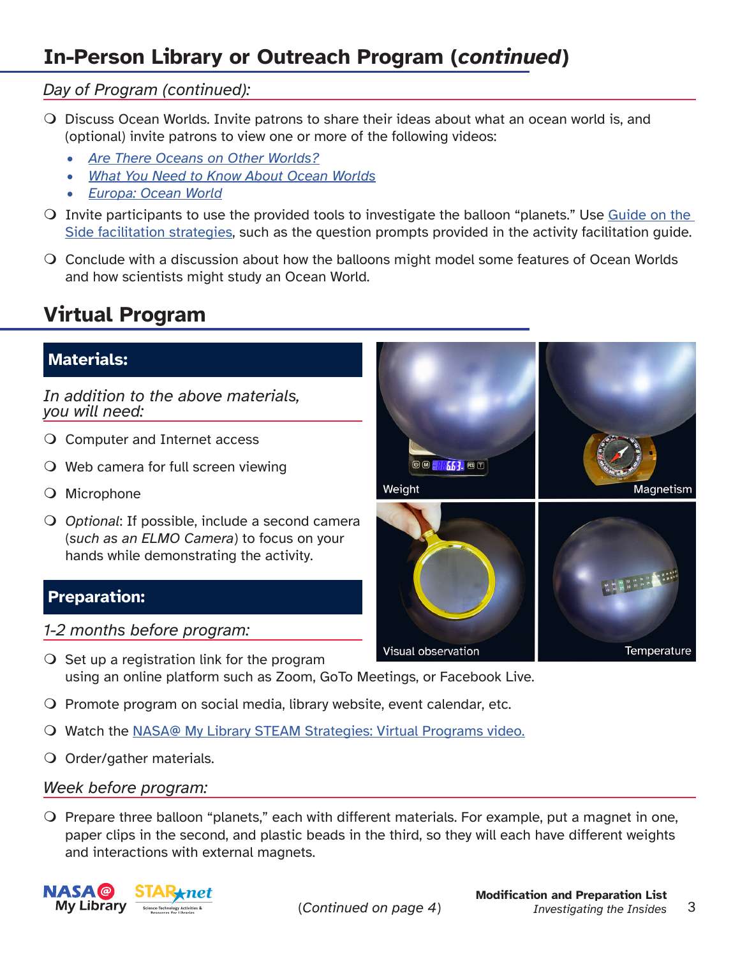## **In-Person Library or Outreach Program (***continued***)**

### *Day of Program (continued):*

- Discuss Ocean Worlds. Invite patrons to share their ideas about what an ocean world is, and (optional) invite patrons to view one or more of the following videos:
	- *• [Are There Oceans on Other Worlds?](https://www.youtube.com/watch?v=1p-SmukIL-M)*
	- *• [What You Need to Know About Ocean Worlds](https://www.youtube.com/watch?v=_9AYw2EQm8s)*
	- *• [Europa: Ocean World](https://europa.nasa.gov/resources/54/europa-ocean-world/)*
- $\Omega$  Invite participants to use the provided tools to investigate the balloon "planets." Use [Guide on the](https://www.starnetlibraries.org/resources/guide-on-the-side/) [Side facilitation strategies](https://www.starnetlibraries.org/resources/guide-on-the-side/), such as the question prompts provided in the activity facilitation guide.
- Conclude with a discussion about how the balloons might model some features of Ocean Worlds and how scientists might study an Ocean World.

## **Virtual Program**

## **Materials:**

*In addition to the above materials, you will need:*

- O Computer and Internet access
- $\bigcirc$  Web camera for full screen viewing
- Microphone
- *Optional*: If possible, include a second camera (*such as an ELMO Camera*) to focus on your hands while demonstrating the activity.

## **Preparation:**

### *1-2 months before program:*

- $\overline{O}$  Set up a registration link for the program using an online platform such as Zoom, GoTo Meetings, or Facebook Live.
- $\Omega$  Promote program on social media, library website, event calendar, etc.
- Watch the [NASA@ My Library STEAM Strategies: Virtual Programs video.](https://www.youtube.com/watch?v=SJSsEl04Seo)
- O Order/gather materials.

#### *Week before program:*

 $\Omega$  Prepare three balloon "planets," each with different materials. For example, put a magnet in one, paper clips in the second, and plastic beads in the third, so they will each have different weights and interactions with external magnets.